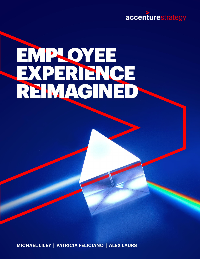

# EMPLOYEE<br>EXPERIENCE<br>REIMAGINED

MICHAEL LILEY | PATRICIA FELICIANO | ALEX LAURS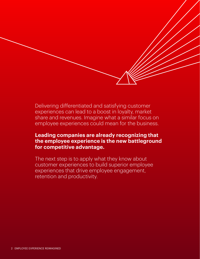Delivering differentiated and satisfying customer experiences can lead to a boost in loyalty, market share and revenues. Imagine what a similar focus on employee experiences could mean for the business.

#### **Leading companies are already recognizing that the employee experience is the new battleground for competitive advantage.**

The next step is to apply what they know about customer experiences to build superior employee experiences that drive employee engagement, retention and productivity.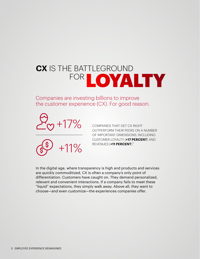# **CX** IS THE BATTLEGROUND FOR LOYALTY

Companies are investing billions to improve the customer experience (CX). For good reason.





COMPANIES THAT GET CX RIGHT OUTPERFORM THEIR PEERS ON A NUMBER OF IMPORTANT DIMENSIONS, INCLUDING CUSTOMER LOYALTY (**+17 PERCENT**) AND REVENUES (+11 PERCENT).<sup>1</sup>

In the digital age, where transparency is high and products and services are quickly commoditized, CX is often a company's only point of differentiation. Customers have caught on. They demand personalized, relevant and convenient interactions. If a company fails to meet these "liquid" expectations, they simply walk away. Above all, they want to choose—and even customize—the experiences companies offer.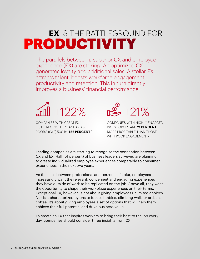# **EX** IS THE BATTLEGROUND FOR PRODUCTIVITY

The parallels between a superior CX and employee experience (EX) are striking. An optimized CX generates loyalty and additional sales. A stellar EX attracts talent, boosts workforce engagement, productivity and retention. This in turn directly improves a business' financial performance.



COMPANIES WITH GREAT EX OUTPERFORM THE STANDARD & POOR'S (S&P) 500 BY **122 PERCENT** 2



COMPANIES WITH HIGHLY ENGAGED WORKFORCES ARE **21 PERCENT** MORE PROFITABLE THAN THOSE WITH POOR ENGAGEMENT 3

Leading companies are starting to recognize the connection between CX and EX. Half (51 percent) of business leaders surveyed are planning to create individualized employee experiences comparable to consumer experiences in the next two years.

As the lines between professional and personal life blur, employees increasingly want the relevant, convenient and engaging experiences they have outside of work to be replicated on the job. Above all, they want the opportunity to shape their workplace experiences on their terms. Exceptional EX, however, is not about giving employees unlimited choices. Nor is it characterized by onsite foosball tables, climbing walls or artisanal coffee. It's about giving employees a set of options that will help them achieve their full potential and drive business value.

To create an EX that inspires workers to bring their best to the job every day, companies should consider three insights from CX.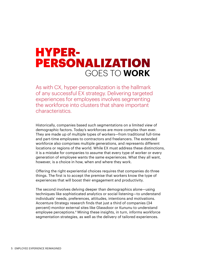# GOES TO **WORK** HYPER-PERSONALIZATION

As with CX, hyper-personalization is the hallmark of any successful EX strategy. Delivering targeted experiences for employees involves segmenting the workforce into clusters that share important characteristics.

Historically, companies based such segmentations on a limited view of demographic factors. Today's workforces are more complex than ever. They are made up of multiple types of workers—from traditional full-time and part-time employees to contractors and freelancers. The extended workforce also comprises multiple generations, and represents different locations or regions of the world. While EX must address these distinctions, it is a mistake for companies to assume that every type of worker or every generation of employee wants the same experiences. What they all want, however, is a choice in how, when and where they work.

Offering the right experiential choices requires that companies do three things. The first is to accept the premise that workers know the type of experiences that will boost their engagement and productivity.

The second involves delving deeper than demographics alone—using techniques like sophisticated analytics or social listening—to understand individuals' needs, preferences, attitudes, intentions and motivations. Accenture Strategy research finds that just a third of companies (34 percent) monitor external sites like Glassdoor or Kununu to understand employee perceptions.4 Mining these insights, in turn, informs workforce segmentation strategies, as well as the delivery of tailored experiences.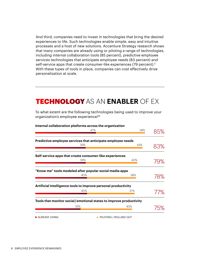And third, companies need to invest in technologies that bring the desired experiences to life. Such technologies enable simple, easy and intuitive processes and a host of new solutions. Accenture Strategy research shows that many companies are already using or piloting a range of technologies, including internal collaboration tools (85 percent), predictive employee services technologies that anticipate employee needs (83 percent) and self-service apps that create consumer-like experiences (79 percent).<sup>5</sup> With these types of tools in place, companies can cost effectively drive personalization at scale.

#### TECHNOLOGYAS AN **ENABLER** OF EX

To what extent are the following technologies being used to improve your organization's employee experience?6

|                              | 47% |                                                                    | 38% |     |
|------------------------------|-----|--------------------------------------------------------------------|-----|-----|
|                              |     | Predictive employee services that anticipate employee needs        |     |     |
|                              | 39% |                                                                    | 44% | 83% |
|                              |     | Self-service apps that create consumer-like experiences            |     |     |
|                              | 39% |                                                                    | 40% | 79% |
|                              |     | "Know me" tools modeled after popular social media apps            |     |     |
|                              | 40% |                                                                    | 38% | 78% |
|                              |     | Artificial intelligence tools to improve personal productivity     |     |     |
|                              | 40% | 37%                                                                |     | 77% |
|                              |     | Tools that monitor social/emotional states to improve productivity |     |     |
|                              | 35% | 40%                                                                |     | 75% |
| $\blacksquare$ ALREADY USING |     | PILOTING / ROLLING OUT                                             |     |     |

**Internal collaboration platforms across the organization**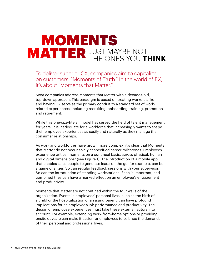# JUST MAYBE NOT **MATTER JUST MAYBE NOT THINK** MOMENTS

To deliver superior CX, companies aim to capitalize on customers' "Moments of Truth." In the world of EX, it's about "Moments that Matter."

Most companies address Moments that Matter with a decades-old, top-down approach. This paradigm is based on treating workers alike and having HR serve as the primary conduit to a standard set of workrelated experiences, including recruiting, onboarding, training, promotion and retirement.

While this one-size-fits-all model has served the field of talent management for years, it is inadequate for a workforce that increasingly wants to shape their employee experiences as easily and naturally as they manage their consumer relationships.

As work and workforces have grown more complex, it's clear that Moments that Matter do not occur solely at specified career milestones. Employees experience critical moments on a continual basis, across physical, human and digital dimensions<sup> $6$ </sup> (see Figure 1). The introduction of a mobile app that enables sales people to generate leads on the go, for example, can be a game changer. So can regular feedback sessions with your supervisor. So can the introduction of standing workstations. Each is important, and combined they can have a marked effect on an employee's engagement and productivity.

Moments that Matter are not confined within the four walls of the organization. Events in employees' personal lives, such as the birth of a child or the hospitalization of an aging parent, can have profound implications for an employee's job performance and productivity. The design of employee experiences must take these external factors into account. For example, extending work-from-home options or providing onsite daycare can make it easier for employees to balance the demands of their personal and professional lives.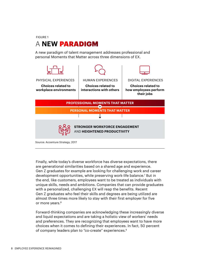FIGURE 1

### A **NEW** PARADIGM

A new paradigm of talent management addresses professional and personal Moments that Matter across three dimensions of EX.



Finally, while today's diverse workforce has diverse expectations, there are generational similarities based on a shared age and experience. Gen Z graduates for example are looking for challenging work and career development opportunities, while preserving work-life balance.<sup>7</sup> But in the end, like customers, employees want to be treated as individuals with unique skills, needs and ambitions. Companies that can provide graduates with a personalized, challenging EX will reap the benefits. Recent Gen Z graduates who feel their skills and degrees are being utilized are almost three times more likely to stay with their first employer for five or more years.<sup>8</sup>

Forward-thinking companies are acknowledging these increasingly diverse and liquid expectations and are taking a holistic view of workers' needs and preferences. They are recognizing that employees want to have more choices when it comes to defining their experiences. In fact, 50 percent of company leaders plan to "co-create" experiences.9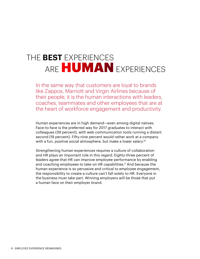# THE **BEST** EXPERIENCES ARE HUMAN EXPERIENCES

In the same way that customers are loyal to brands like Zappos, Marriott and Virgin Airlines because of their people, it is the human interactions with leaders, coaches, teammates and other employees that are at the heart of workforce engagement and productivity.

Human experiences are in high demand—even among digital natives. Face-to-face is the preferred way for 2017 graduates to interact with colleagues (39 percent), with web communication tools running a distant second (19 percent). Fifty-nine percent would rather work at a company with a fun, positive social atmosphere, but make a lower salary.<sup>10</sup>

Strengthening human experiences requires a culture of collaboration and HR plays an important role in this regard. Eighty-three percent of leaders agree that HR can improve employee performance by enabling and coaching employees to take on HR capabilities.<sup>11</sup> And because the human experience is so pervasive and critical to employee engagement, the responsibility to create a culture can't fall solely to HR. Everyone in the business must take part. Winning employers will be those that put a human face on their employer brand.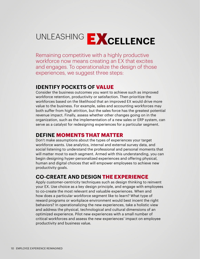# UNLEASHING EXCELLENCE

Remaining competitive with a highly productive workforce now means creating an EX that excites and engages. To operationalize the design of those experiences, we suggest three steps:

#### **IDENTIFY POCKETS OF VALUE**

Consider the business outcomes you want to achieve such as improved workforce retention, productivity or satisfaction. Then prioritize the workforces based on the likelihood that an improved EX would drive more value to the business. For example, sales and accounting workforces may both suffer from high attrition, but the sales force has the greatest potential revenue impact. Finally, assess whether other changes going on in the organization, such as the implementation of a new sales or ERP system, can serve as a catalyst for redesigning experiences for a particular segment.

#### **DEFINE MOMENTS THAT MATTER**

Don't make assumptions about the types of experiences your target workforce wants. Use analytics, internal and external survey data, and social listening to understand the professional and personal moments that will matter most to each segment. Armed with this understanding, you can begin designing hyper-personalized experiences and offering physical, human and digital choices that will empower employees to achieve new productivity goals.

#### **CO-CREATE AND DESIGN THE EXPERIENCE**

Apply customer-centricity techniques such as design thinking to reinvent your EX. Use choice as a key design principle, and engage with employees to co-create the most relevant and valuable experiences. When and how does a particular workforce segment like to learn? What type of reward programs or workplace environment would best incent the right behaviors? In operationalizing the new experiences, take a holistic view and address the physical, technological and cultural dimensions of an optimized experience. Pilot new experiences with a small number of critical workforces and assess the new experiences' impact on employee productivity and business value.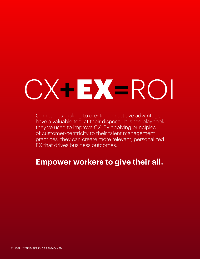# CX**+**EX**=**ROI

Companies looking to create competitive advantage have a valuable tool at their disposal. It is the playbook they've used to improve CX. By applying principles of customer-centricity to their talent management practices, they can create more relevant, personalized EX that drives business outcomes.

## **Empower workers to give their all.**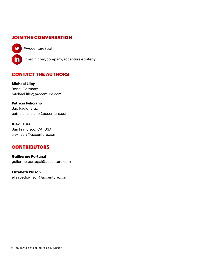#### **JOIN THE CONVERSATION**

[@AccentureStrat](https://twitter.com/AccentureStrat)

y

in [linkedin.com/company/accenture-strategy](https://www.linkedin.com/company/accenture-strategy)

#### **CONTACT THE AUTHORS**

**Michael Liley**  Bonn, Germany michael.liley@accenture.com

**Patricia Feliciano**  Sao Paulo, Brazil patricia.feliciano@accenture.com

**Alex Laurs**  San Francisco, CA, USA alex.laurs@accenture.com

#### **CONTRIBUTORS**

**Guilherme Portugal** guilerme.portugal@accenture.com

**Elizabeth Wilson**  elizabeth.wilson@accenture.com